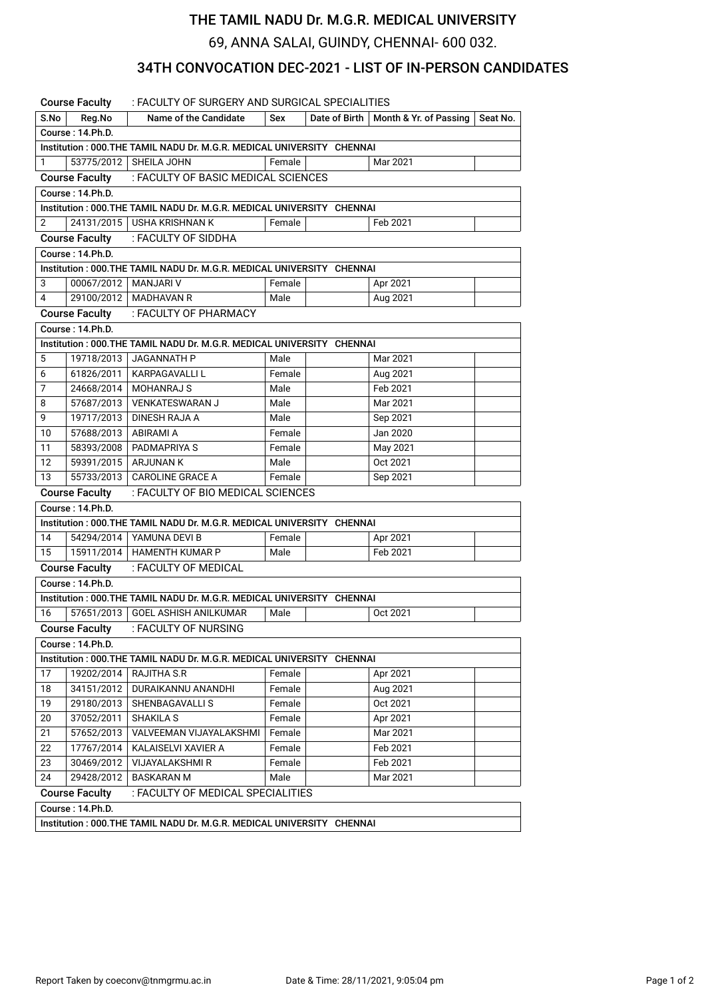## THE TAMIL NADU Dr. M.G.R. MEDICAL UNIVERSITY

69, ANNA SALAI, GUINDY, CHENNAI- 600 032.

## 34TH CONVOCATION DEC-2021 - LIST OF IN-PERSON CANDIDATES

|                                                                        | <b>Course Faculty</b>  | : FACULTY OF SURGERY AND SURGICAL SPECIALITIES                         |        |               |                        |          |  |  |  |  |  |  |
|------------------------------------------------------------------------|------------------------|------------------------------------------------------------------------|--------|---------------|------------------------|----------|--|--|--|--|--|--|
| S.No                                                                   | Reg.No                 | Name of the Candidate                                                  | Sex    | Date of Birth | Month & Yr. of Passing | Seat No. |  |  |  |  |  |  |
|                                                                        | Course: 14.Ph.D.       |                                                                        |        |               |                        |          |  |  |  |  |  |  |
| Institution: 000.THE TAMIL NADU Dr. M.G.R. MEDICAL UNIVERSITY CHENNAI  |                        |                                                                        |        |               |                        |          |  |  |  |  |  |  |
| 1                                                                      |                        | 53775/2012   SHEILA JOHN                                               | Female |               | Mar 2021               |          |  |  |  |  |  |  |
|                                                                        | <b>Course Faculty</b>  | : FACULTY OF BASIC MEDICAL SCIENCES                                    |        |               |                        |          |  |  |  |  |  |  |
| Course: 14.Ph.D.                                                       |                        |                                                                        |        |               |                        |          |  |  |  |  |  |  |
| Institution : 000.THE TAMIL NADU Dr. M.G.R. MEDICAL UNIVERSITY CHENNAI |                        |                                                                        |        |               |                        |          |  |  |  |  |  |  |
| $\overline{2}$                                                         |                        | 24131/2015   USHA KRISHNAN K                                           | Female |               | Feb 2021               |          |  |  |  |  |  |  |
|                                                                        | <b>Course Faculty</b>  | : FACULTY OF SIDDHA                                                    |        |               |                        |          |  |  |  |  |  |  |
| Course: 14.Ph.D.                                                       |                        |                                                                        |        |               |                        |          |  |  |  |  |  |  |
| Institution : 000.THE TAMIL NADU Dr. M.G.R. MEDICAL UNIVERSITY CHENNAI |                        |                                                                        |        |               |                        |          |  |  |  |  |  |  |
| 3                                                                      | 00067/2012   MANJARI V |                                                                        | Female |               | Apr 2021               |          |  |  |  |  |  |  |
| 4                                                                      |                        | 29100/2012   MADHAVAN R                                                | Male   |               | Aug 2021               |          |  |  |  |  |  |  |
|                                                                        | <b>Course Faculty</b>  | : FACULTY OF PHARMACY                                                  |        |               |                        |          |  |  |  |  |  |  |
|                                                                        | Course: 14.Ph.D.       |                                                                        |        |               |                        |          |  |  |  |  |  |  |
| Institution : 000.THE TAMIL NADU Dr. M.G.R. MEDICAL UNIVERSITY CHENNAI |                        |                                                                        |        |               |                        |          |  |  |  |  |  |  |
| 5                                                                      | 19718/2013             | JAGANNATH P                                                            | Male   |               | Mar 2021               |          |  |  |  |  |  |  |
| 6                                                                      | 61826/2011             | KARPAGAVALLI L                                                         | Female |               | Aug 2021               |          |  |  |  |  |  |  |
| $\overline{7}$                                                         | 24668/2014             | MOHANRAJ S                                                             | Male   |               | Feb 2021               |          |  |  |  |  |  |  |
| 8                                                                      | 57687/2013             | <b>VENKATESWARAN J</b>                                                 | Male   |               | Mar 2021               |          |  |  |  |  |  |  |
| 9                                                                      | 19717/2013             | DINESH RAJA A                                                          | Male   |               | Sep 2021               |          |  |  |  |  |  |  |
| 10                                                                     | 57688/2013   ABIRAMI A |                                                                        | Female |               | Jan 2020               |          |  |  |  |  |  |  |
| 11                                                                     | 58393/2008             | PADMAPRIYA S                                                           | Female |               | May 2021               |          |  |  |  |  |  |  |
| 12                                                                     | 59391/2015             | <b>ARJUNAN K</b>                                                       | Male   |               | Oct 2021               |          |  |  |  |  |  |  |
| 13                                                                     | 55733/2013             | <b>CAROLINE GRACE A</b>                                                | Female |               | Sep 2021               |          |  |  |  |  |  |  |
| : FACULTY OF BIO MEDICAL SCIENCES<br><b>Course Faculty</b>             |                        |                                                                        |        |               |                        |          |  |  |  |  |  |  |
|                                                                        | Course: 14.Ph.D.       |                                                                        |        |               |                        |          |  |  |  |  |  |  |
|                                                                        |                        | Institution : 000.THE TAMIL NADU Dr. M.G.R. MEDICAL UNIVERSITY CHENNAI |        |               |                        |          |  |  |  |  |  |  |
| 14                                                                     |                        | 54294/2014   YAMUNA DEVI B                                             | Female |               | Apr 2021               |          |  |  |  |  |  |  |
| 15                                                                     |                        | 15911/2014   HAMENTH KUMAR P                                           | Male   |               | Feb 2021               |          |  |  |  |  |  |  |
|                                                                        | <b>Course Faculty</b>  | : FACULTY OF MEDICAL                                                   |        |               |                        |          |  |  |  |  |  |  |
|                                                                        | Course: 14.Ph.D.       |                                                                        |        |               |                        |          |  |  |  |  |  |  |
|                                                                        |                        | Institution : 000.THE TAMIL NADU Dr. M.G.R. MEDICAL UNIVERSITY CHENNAI |        |               |                        |          |  |  |  |  |  |  |
| 16                                                                     |                        | 57651/2013 GOEL ASHISH ANILKUMAR                                       | Male   |               | Oct 2021               |          |  |  |  |  |  |  |
|                                                                        |                        | Course Faculty : FACULTY OF NURSING                                    |        |               |                        |          |  |  |  |  |  |  |
|                                                                        | Course: 14.Ph.D.       |                                                                        |        |               |                        |          |  |  |  |  |  |  |
|                                                                        |                        | Institution: 000.THE TAMIL NADU Dr. M.G.R. MEDICAL UNIVERSITY CHENNAI  |        |               |                        |          |  |  |  |  |  |  |
| 17                                                                     | 19202/2014             | RAJITHA S.R                                                            | Female |               | Apr 2021               |          |  |  |  |  |  |  |
| 18                                                                     | 34151/2012             | DURAIKANNU ANANDHI                                                     | Female |               | Aug 2021               |          |  |  |  |  |  |  |
| 19                                                                     | 29180/2013             | SHENBAGAVALLI S                                                        | Female |               | Oct 2021               |          |  |  |  |  |  |  |
| 20                                                                     | 37052/2011             | <b>SHAKILA S</b>                                                       | Female |               | Apr 2021               |          |  |  |  |  |  |  |
| 21                                                                     | 57652/2013             | VALVEEMAN VIJAYALAKSHMI                                                | Female |               | Mar 2021               |          |  |  |  |  |  |  |
| 22                                                                     | 17767/2014             | KALAISELVI XAVIER A                                                    | Female |               | Feb 2021               |          |  |  |  |  |  |  |
| 23                                                                     | 30469/2012             | VIJAYALAKSHMI R                                                        | Female |               | Feb 2021               |          |  |  |  |  |  |  |
| 24                                                                     | 29428/2012             | <b>BASKARAN M</b>                                                      | Male   |               | Mar 2021               |          |  |  |  |  |  |  |
| <b>Course Faculty</b><br>: FACULTY OF MEDICAL SPECIALITIES             |                        |                                                                        |        |               |                        |          |  |  |  |  |  |  |
| Course: 14.Ph.D.                                                       |                        |                                                                        |        |               |                        |          |  |  |  |  |  |  |
| Institution: 000. THE TAMIL NADU Dr. M.G.R. MEDICAL UNIVERSITY CHENNAI |                        |                                                                        |        |               |                        |          |  |  |  |  |  |  |